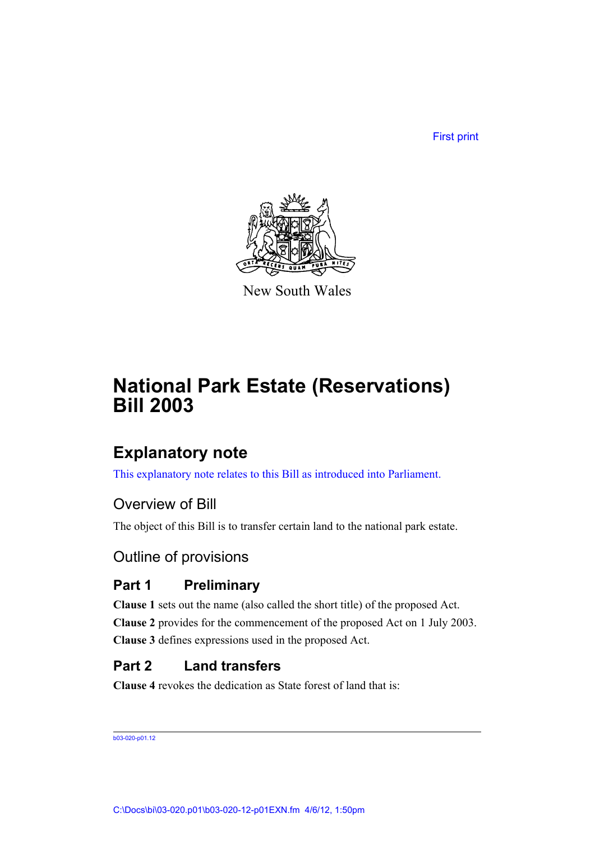First print



New South Wales

# **National Park Estate (Reservations) Bill 2003**

# **Explanatory note**

This explanatory note relates to this Bill as introduced into Parliament.

# Overview of Bill

The object of this Bill is to transfer certain land to the national park estate.

# Outline of provisions

## **Part 1 Preliminary**

**Clause 1** sets out the name (also called the short title) of the proposed Act. **Clause 2** provides for the commencement of the proposed Act on 1 July 2003. **Clause 3** defines expressions used in the proposed Act.

# **Part 2 Land transfers**

**Clause 4** revokes the dedication as State forest of land that is:

b03-020-p01.12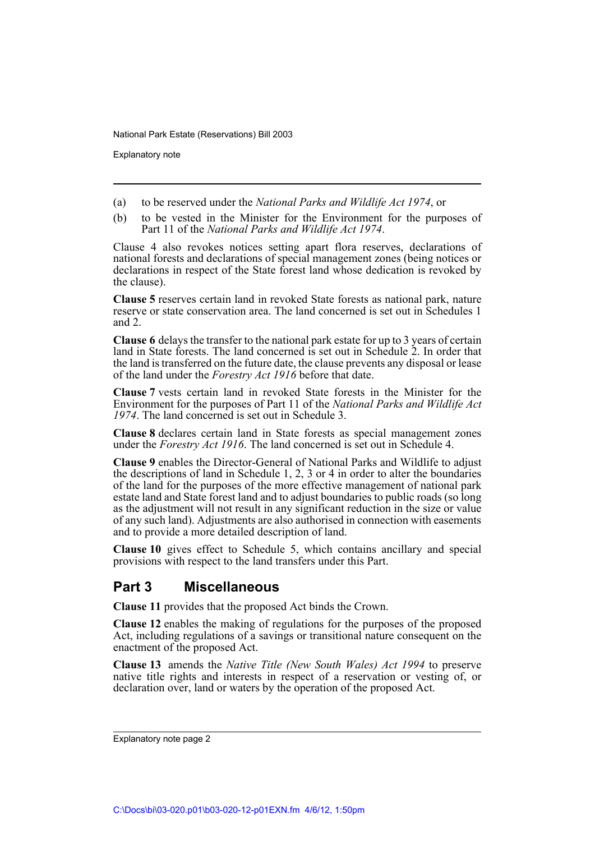Explanatory note

- (a) to be reserved under the *National Parks and Wildlife Act 1974*, or
- (b) to be vested in the Minister for the Environment for the purposes of Part 11 of the *National Parks and Wildlife Act 1974*.

Clause 4 also revokes notices setting apart flora reserves, declarations of national forests and declarations of special management zones (being notices or declarations in respect of the State forest land whose dedication is revoked by the clause).

**Clause 5** reserves certain land in revoked State forests as national park, nature reserve or state conservation area. The land concerned is set out in Schedules 1 and 2.

**Clause 6** delays the transfer to the national park estate for up to 3 years of certain land in State forests. The land concerned is set out in Schedule 2. In order that the land is transferred on the future date, the clause prevents any disposal or lease of the land under the *Forestry Act 1916* before that date.

**Clause 7** vests certain land in revoked State forests in the Minister for the Environment for the purposes of Part 11 of the *National Parks and Wildlife Act 1974*. The land concerned is set out in Schedule 3.

**Clause 8** declares certain land in State forests as special management zones under the *Forestry Act 1916*. The land concerned is set out in Schedule 4.

**Clause 9** enables the Director-General of National Parks and Wildlife to adjust the descriptions of land in Schedule 1, 2, 3 or 4 in order to alter the boundaries of the land for the purposes of the more effective management of national park estate land and State forest land and to adjust boundaries to public roads (so long as the adjustment will not result in any significant reduction in the size or value of any such land). Adjustments are also authorised in connection with easements and to provide a more detailed description of land.

**Clause 10** gives effect to Schedule 5, which contains ancillary and special provisions with respect to the land transfers under this Part.

## **Part 3 Miscellaneous**

**Clause 11** provides that the proposed Act binds the Crown.

**Clause 12** enables the making of regulations for the purposes of the proposed Act, including regulations of a savings or transitional nature consequent on the enactment of the proposed Act.

**Clause 13** amends the *Native Title (New South Wales) Act 1994* to preserve native title rights and interests in respect of a reservation or vesting of, or declaration over, land or waters by the operation of the proposed Act.

Explanatory note page 2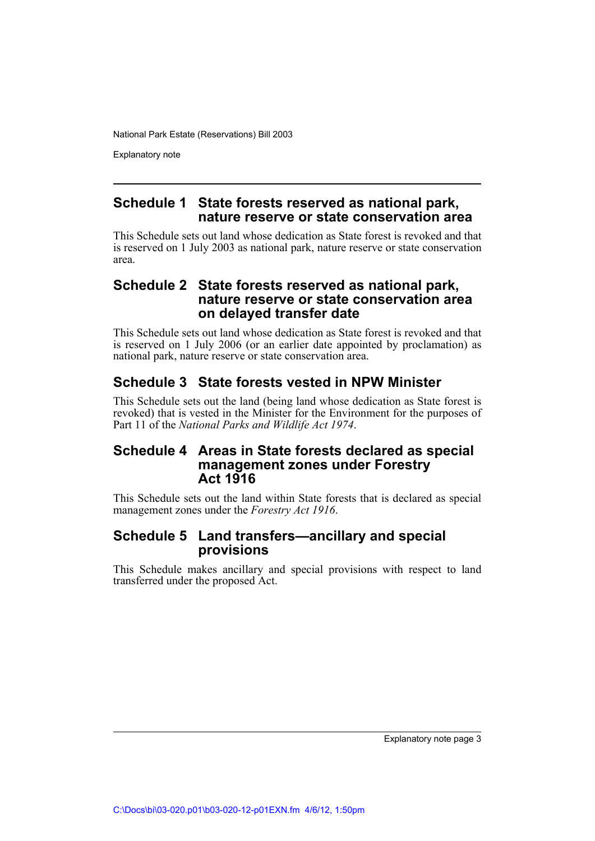Explanatory note

## **Schedule 1 State forests reserved as national park, nature reserve or state conservation area**

This Schedule sets out land whose dedication as State forest is revoked and that is reserved on 1 July 2003 as national park, nature reserve or state conservation area.

## **Schedule 2 State forests reserved as national park, nature reserve or state conservation area on delayed transfer date**

This Schedule sets out land whose dedication as State forest is revoked and that is reserved on 1 July 2006 (or an earlier date appointed by proclamation) as national park, nature reserve or state conservation area.

# **Schedule 3 State forests vested in NPW Minister**

This Schedule sets out the land (being land whose dedication as State forest is revoked) that is vested in the Minister for the Environment for the purposes of Part 11 of the *National Parks and Wildlife Act 1974*.

## **Schedule 4 Areas in State forests declared as special management zones under Forestry Act 1916**

This Schedule sets out the land within State forests that is declared as special management zones under the *Forestry Act 1916*.

## **Schedule 5 Land transfers—ancillary and special provisions**

This Schedule makes ancillary and special provisions with respect to land transferred under the proposed Act.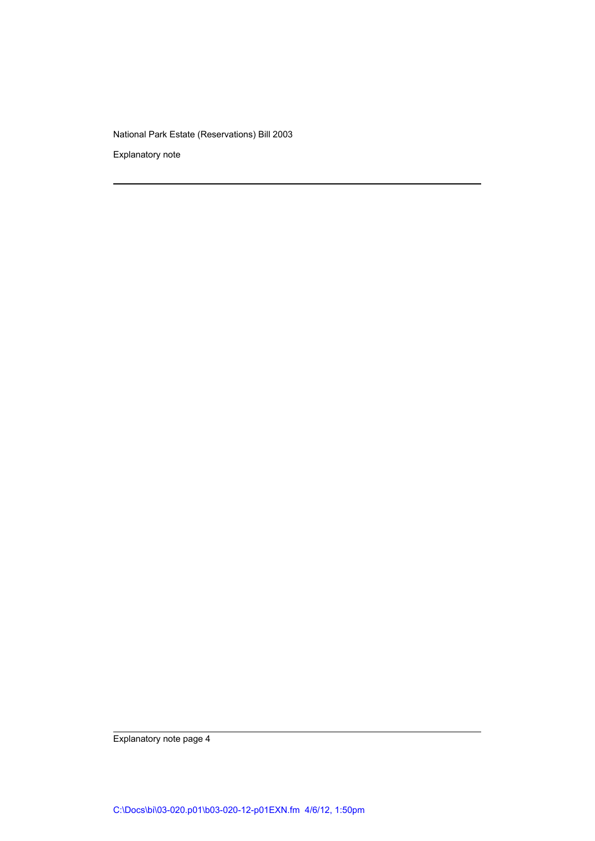Explanatory note

Explanatory note page 4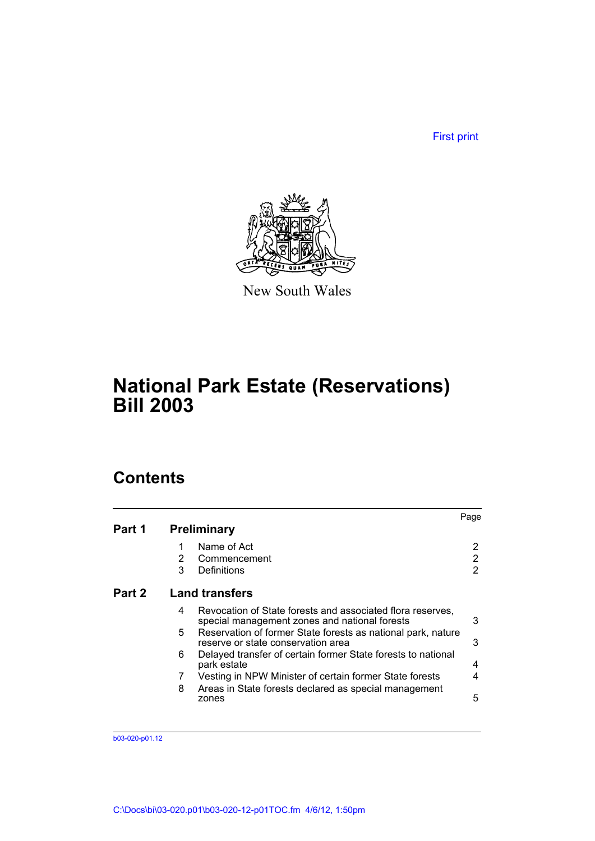First print



New South Wales

# **National Park Estate (Reservations) Bill 2003**

# **Contents**

|   |                                                                                                    | Page                                                                                         |
|---|----------------------------------------------------------------------------------------------------|----------------------------------------------------------------------------------------------|
| 1 | Name of Act                                                                                        | 2                                                                                            |
| 2 | Commencement                                                                                       | 2                                                                                            |
| 3 | Definitions                                                                                        | 2                                                                                            |
|   |                                                                                                    |                                                                                              |
| 4 | Revocation of State forests and associated flora reserves,                                         | 3                                                                                            |
| 5 | Reservation of former State forests as national park, nature<br>reserve or state conservation area | 3                                                                                            |
| 6 | Delayed transfer of certain former State forests to national<br>park estate                        | 4                                                                                            |
| 7 | Vesting in NPW Minister of certain former State forests                                            | 4                                                                                            |
| 8 | Areas in State forests declared as special management<br>zones                                     | 5                                                                                            |
|   |                                                                                                    | <b>Preliminary</b><br><b>Land transfers</b><br>special management zones and national forests |

b03-020-p01.12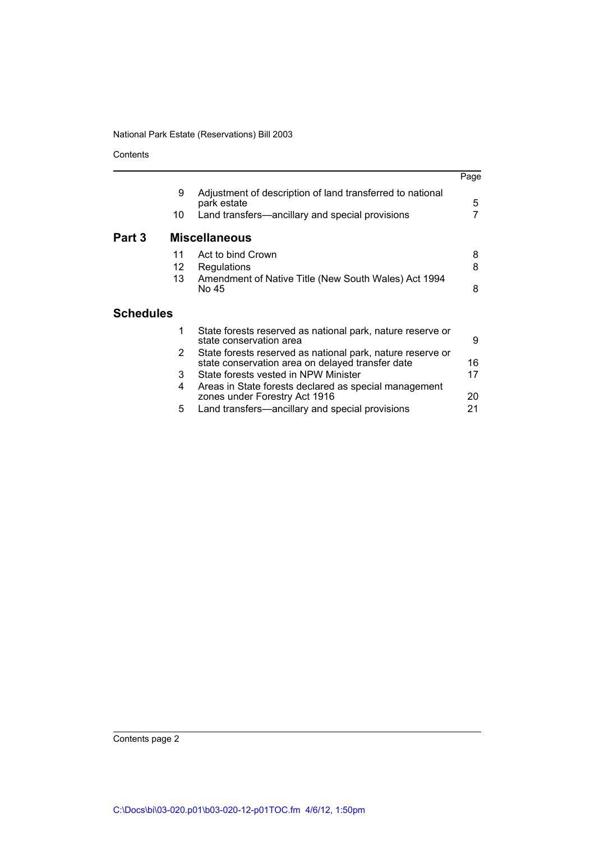Contents

|                  |    |                                                                                                                | Page |
|------------------|----|----------------------------------------------------------------------------------------------------------------|------|
|                  | 9  | Adjustment of description of land transferred to national<br>park estate                                       | 5    |
|                  | 10 | Land transfers—ancillary and special provisions                                                                | 7    |
| Part 3           |    | <b>Miscellaneous</b>                                                                                           |      |
|                  | 11 | Act to bind Crown                                                                                              | 8    |
|                  | 12 | Regulations                                                                                                    | 8    |
|                  | 13 | Amendment of Native Title (New South Wales) Act 1994<br>No 45                                                  | 8    |
| <b>Schedules</b> |    |                                                                                                                |      |
|                  | 1  | State forests reserved as national park, nature reserve or<br>state conservation area                          | 9    |
|                  | 2  | State forests reserved as national park, nature reserve or<br>state conservation area on delayed transfer date | 16   |
|                  | 3  | State forests vested in NPW Minister                                                                           | 17   |
|                  | 4  | Areas in State forests declared as special management<br>zones under Forestry Act 1916                         | 20   |
|                  | 5  | Land transfers-ancillary and special provisions                                                                | 21   |

Contents page 2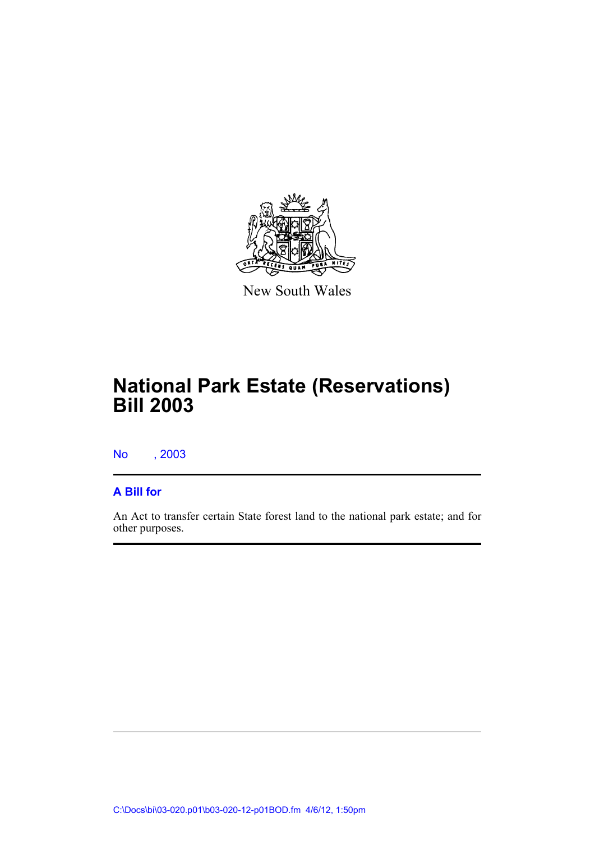

New South Wales

# **National Park Estate (Reservations) Bill 2003**

No , 2003

## **A Bill for**

An Act to transfer certain State forest land to the national park estate; and for other purposes.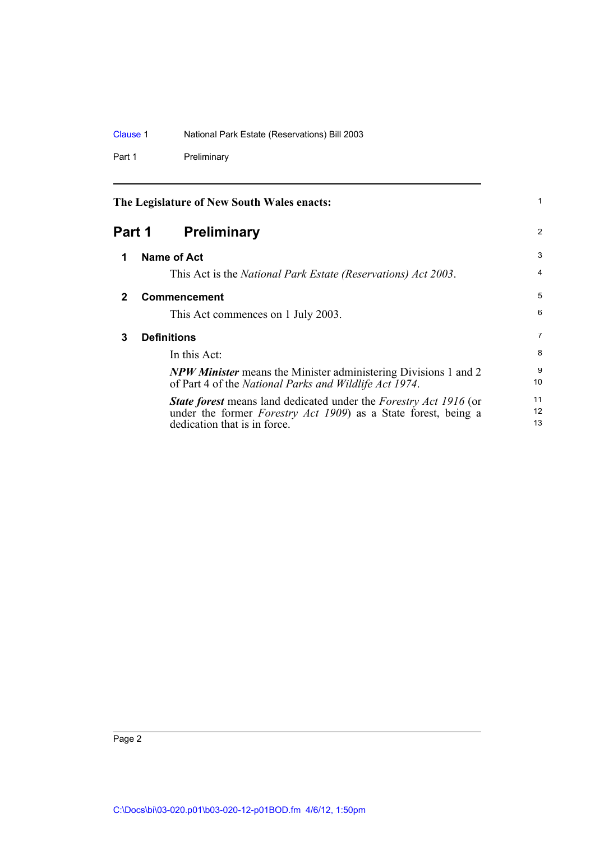#### Clause 1 National Park Estate (Reservations) Bill 2003

Part 1 Preliminary

<span id="page-7-3"></span><span id="page-7-2"></span><span id="page-7-1"></span><span id="page-7-0"></span>

| The Legislature of New South Wales enacts: |                                                                                                                                                                                           |                             |
|--------------------------------------------|-------------------------------------------------------------------------------------------------------------------------------------------------------------------------------------------|-----------------------------|
| Part 1<br><b>Preliminary</b>               |                                                                                                                                                                                           | 2                           |
| 1                                          | Name of Act                                                                                                                                                                               | 3                           |
|                                            | This Act is the National Park Estate (Reservations) Act 2003.                                                                                                                             | 4                           |
| 2                                          | <b>Commencement</b>                                                                                                                                                                       | 5                           |
|                                            | This Act commences on 1 July 2003.                                                                                                                                                        | 6                           |
| 3                                          | <b>Definitions</b>                                                                                                                                                                        | 7                           |
|                                            | In this Act:                                                                                                                                                                              | 8                           |
|                                            | <b>NPW Minister</b> means the Minister administering Divisions 1 and 2<br>of Part 4 of the National Parks and Wildlife Act 1974.                                                          | 9<br>10                     |
|                                            | <b>State forest</b> means land dedicated under the <i>Forestry Act 1916</i> (or<br>under the former <i>Forestry Act 1909</i> ) as a State forest, being a<br>dedication that is in force. | 11<br>12 <sup>2</sup><br>13 |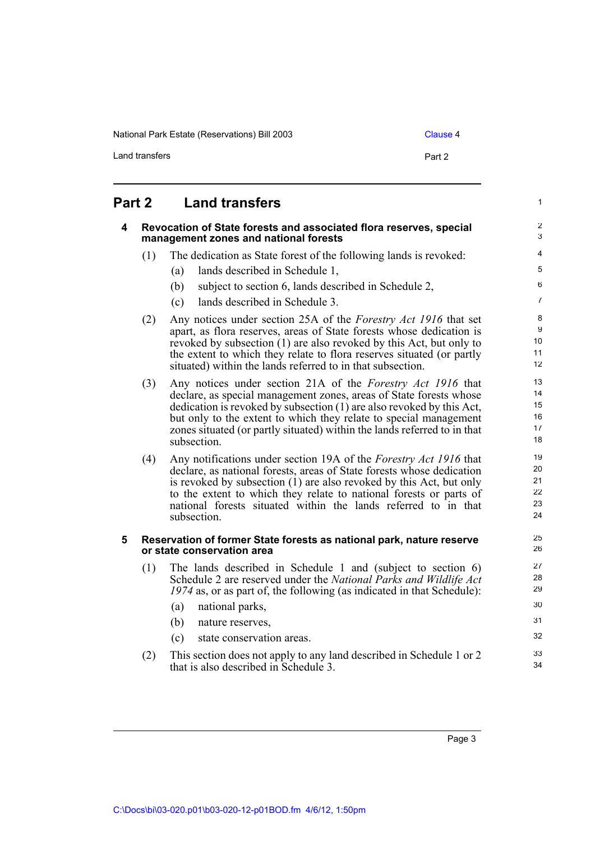National Park Estate (Reservations) Bill 2003 Clause 4

Land transfers Part 2

#### <span id="page-8-2"></span><span id="page-8-1"></span><span id="page-8-0"></span>**Part 2 Land transfers 4 Revocation of State forests and associated flora reserves, special management zones and national forests** (1) The dedication as State forest of the following lands is revoked: (a) lands described in Schedule 1, (b) subject to section 6, lands described in Schedule 2, (c) lands described in Schedule 3. (2) Any notices under section 25A of the *Forestry Act 1916* that set apart, as flora reserves, areas of State forests whose dedication is revoked by subsection (1) are also revoked by this Act, but only to the extent to which they relate to flora reserves situated (or partly situated) within the lands referred to in that subsection. (3) Any notices under section 21A of the *Forestry Act 1916* that declare, as special management zones, areas of State forests whose dedication is revoked by subsection (1) are also revoked by this Act, but only to the extent to which they relate to special management zones situated (or partly situated) within the lands referred to in that subsection. (4) Any notifications under section 19A of the *Forestry Act 1916* that declare, as national forests, areas of State forests whose dedication is revoked by subsection (1) are also revoked by this Act, but only to the extent to which they relate to national forests or parts of national forests situated within the lands referred to in that subsection. **5 Reservation of former State forests as national park, nature reserve or state conservation area** (1) The lands described in Schedule 1 and (subject to section 6) Schedule 2 are reserved under the *National Parks and Wildlife Act 1974* as, or as part of, the following (as indicated in that Schedule): (a) national parks, (b) nature reserves, (c) state conservation areas. (2) This section does not apply to any land described in Schedule 1 or 2 that is also described in Schedule 3. 1  $\overline{2}$ 3 4 5 6 7 8 **9** 10 11 12 13 14 15 16 17 18 19 20 21 22 23 24 25 26 27 28 29 30 31 32 33 34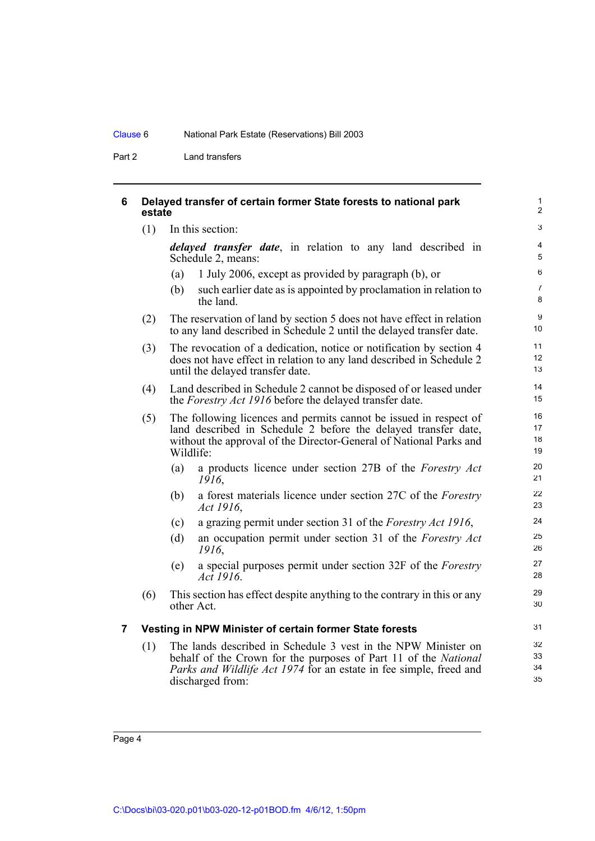#### Clause 6 National Park Estate (Reservations) Bill 2003

Part 2 Land transfers

<span id="page-9-1"></span><span id="page-9-0"></span>

| 6 | estate | Delayed transfer of certain former State forests to national park                                                                                                                                                          | $\mathbf{1}$<br>$\overline{2}$ |  |
|---|--------|----------------------------------------------------------------------------------------------------------------------------------------------------------------------------------------------------------------------------|--------------------------------|--|
|   | (1)    | In this section:                                                                                                                                                                                                           | $\mathbf 3$                    |  |
|   |        | <i>delayed transfer date</i> , in relation to any land described in<br>Schedule 2, means:                                                                                                                                  | $\overline{4}$<br>5            |  |
|   |        | 1 July 2006, except as provided by paragraph (b), or<br>(a)                                                                                                                                                                | 6                              |  |
|   |        | (b)<br>such earlier date as is appointed by proclamation in relation to<br>the land.                                                                                                                                       | $\overline{7}$<br>8            |  |
|   | (2)    | The reservation of land by section 5 does not have effect in relation<br>to any land described in Schedule 2 until the delayed transfer date.                                                                              | $\boldsymbol{9}$<br>10         |  |
|   | (3)    | The revocation of a dedication, notice or notification by section 4<br>does not have effect in relation to any land described in Schedule 2<br>until the delayed transfer date.                                            | 11<br>12<br>13                 |  |
|   | (4)    | Land described in Schedule 2 cannot be disposed of or leased under<br>the Forestry Act 1916 before the delayed transfer date.                                                                                              | 14<br>15                       |  |
|   | (5)    | The following licences and permits cannot be issued in respect of<br>land described in Schedule 2 before the delayed transfer date,<br>without the approval of the Director-General of National Parks and<br>Wildlife:     | 16<br>17<br>18<br>19           |  |
|   |        | (a)<br>a products licence under section 27B of the Forestry Act<br>1916,                                                                                                                                                   | 20<br>21                       |  |
|   |        | (b)<br>a forest materials licence under section 27C of the <i>Forestry</i><br>Act 1916,                                                                                                                                    | 22<br>23                       |  |
|   |        | a grazing permit under section 31 of the <i>Forestry Act 1916</i> ,<br>(c)                                                                                                                                                 | 24                             |  |
|   |        | an occupation permit under section 31 of the Forestry Act<br>(d)<br>1916,                                                                                                                                                  | 25<br>26                       |  |
|   |        | a special purposes permit under section 32F of the Forestry<br>(e)<br>Act 1916.                                                                                                                                            | 27<br>28                       |  |
|   | (6)    | This section has effect despite anything to the contrary in this or any<br>other Act.                                                                                                                                      | 29<br>30                       |  |
| 7 |        | Vesting in NPW Minister of certain former State forests                                                                                                                                                                    | 31                             |  |
|   | (1)    | The lands described in Schedule 3 vest in the NPW Minister on<br>behalf of the Crown for the purposes of Part 11 of the National<br>Parks and Wildlife Act 1974 for an estate in fee simple, freed and<br>discharged from: | 32<br>33<br>34<br>35           |  |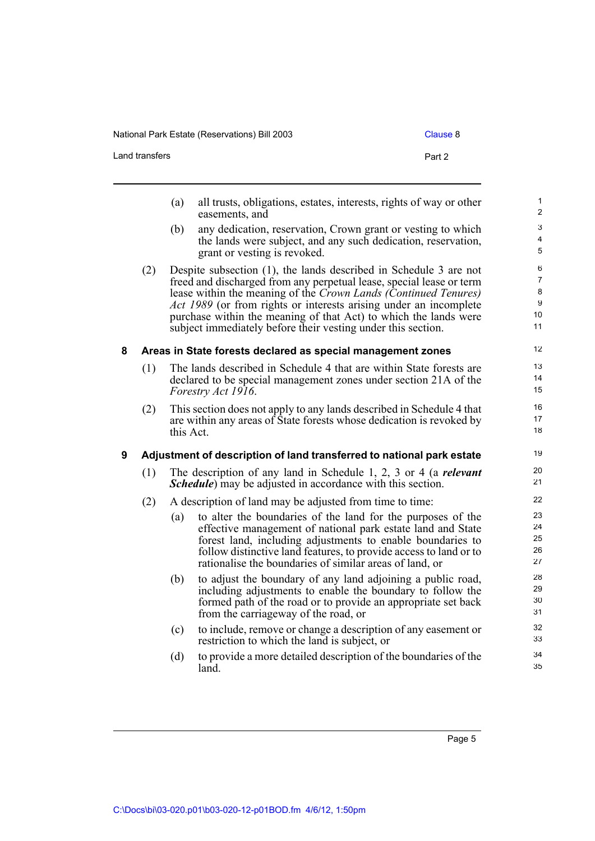<span id="page-10-1"></span><span id="page-10-0"></span>

|   | National Park Estate (Reservations) Bill 2003<br>Clause 8<br>Land transfers<br>Part 2 |           |                                                                                                                                                                                                                                                                                                                                                                                                                              |  |
|---|---------------------------------------------------------------------------------------|-----------|------------------------------------------------------------------------------------------------------------------------------------------------------------------------------------------------------------------------------------------------------------------------------------------------------------------------------------------------------------------------------------------------------------------------------|--|
|   |                                                                                       |           |                                                                                                                                                                                                                                                                                                                                                                                                                              |  |
|   |                                                                                       | (a)       | all trusts, obligations, estates, interests, rights of way or other<br>easements, and                                                                                                                                                                                                                                                                                                                                        |  |
|   |                                                                                       | (b)       | any dedication, reservation, Crown grant or vesting to which<br>the lands were subject, and any such dedication, reservation,<br>grant or vesting is revoked.                                                                                                                                                                                                                                                                |  |
|   | (2)                                                                                   |           | Despite subsection (1), the lands described in Schedule 3 are not<br>freed and discharged from any perpetual lease, special lease or term<br>lease within the meaning of the Crown Lands (Continued Tenures)<br><i>Act 1989</i> (or from rights or interests arising under an incomplete<br>purchase within the meaning of that Act) to which the lands were<br>subject immediately before their vesting under this section. |  |
| 8 |                                                                                       |           | Areas in State forests declared as special management zones                                                                                                                                                                                                                                                                                                                                                                  |  |
|   | (1)                                                                                   |           | The lands described in Schedule 4 that are within State forests are<br>declared to be special management zones under section 21A of the<br>Forestry Act 1916.                                                                                                                                                                                                                                                                |  |
|   | (2)                                                                                   | this Act. | This section does not apply to any lands described in Schedule 4 that<br>are within any areas of State forests whose dedication is revoked by                                                                                                                                                                                                                                                                                |  |
| 9 |                                                                                       |           | Adjustment of description of land transferred to national park estate                                                                                                                                                                                                                                                                                                                                                        |  |
|   | (1)                                                                                   |           | The description of any land in Schedule 1, 2, 3 or 4 (a relevant<br><b>Schedule</b> ) may be adjusted in accordance with this section.                                                                                                                                                                                                                                                                                       |  |
|   | (2)                                                                                   |           | A description of land may be adjusted from time to time:                                                                                                                                                                                                                                                                                                                                                                     |  |
|   |                                                                                       | (a)       | to alter the boundaries of the land for the purposes of the<br>effective management of national park estate land and State<br>forest land, including adjustments to enable boundaries to<br>follow distinctive land features, to provide access to land or to<br>rationalise the boundaries of similar areas of land, or                                                                                                     |  |
|   |                                                                                       | (b)       | to adjust the boundary of any land adjoining a public road,<br>including adjustments to enable the boundary to follow the<br>formed path of the road or to provide an appropriate set back<br>from the carriage way of the road, or                                                                                                                                                                                          |  |
|   |                                                                                       | (c)       | to include, remove or change a description of any easement or<br>restriction to which the land is subject, or                                                                                                                                                                                                                                                                                                                |  |
|   |                                                                                       | (d)       | to provide a more detailed description of the boundaries of the<br>land.                                                                                                                                                                                                                                                                                                                                                     |  |
|   |                                                                                       |           |                                                                                                                                                                                                                                                                                                                                                                                                                              |  |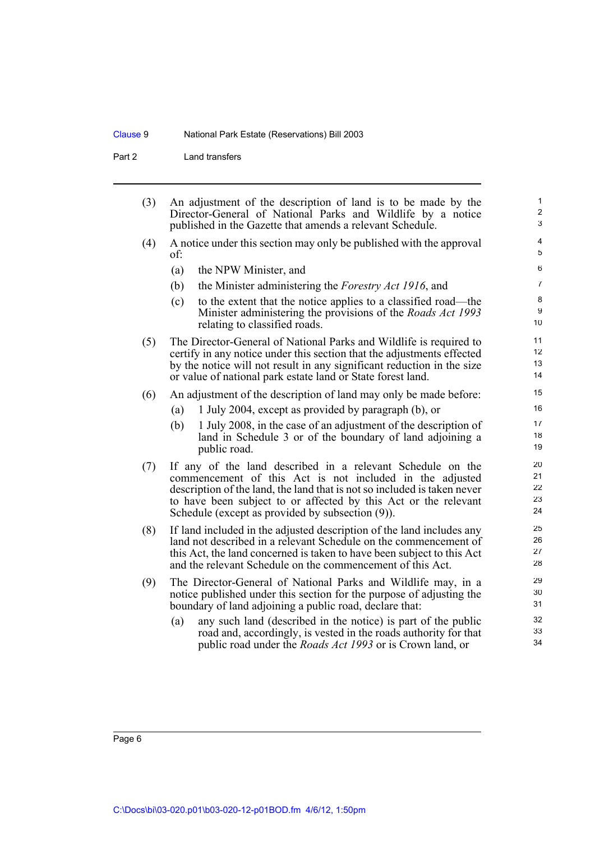#### Clause 9 National Park Estate (Reservations) Bill 2003

Part 2 Land transfers

| (3) | An adjustment of the description of land is to be made by the<br>Director-General of National Parks and Wildlife by a notice<br>published in the Gazette that amends a relevant Schedule.                                                                                                                                 | $\mathbf{1}$<br>$\overline{2}$<br>3 |
|-----|---------------------------------------------------------------------------------------------------------------------------------------------------------------------------------------------------------------------------------------------------------------------------------------------------------------------------|-------------------------------------|
| (4) | A notice under this section may only be published with the approval<br>of:                                                                                                                                                                                                                                                | 4<br>5                              |
|     | (a)<br>the NPW Minister, and                                                                                                                                                                                                                                                                                              | 6                                   |
|     | (b)<br>the Minister administering the <i>Forestry Act 1916</i> , and                                                                                                                                                                                                                                                      | $\overline{7}$                      |
|     | to the extent that the notice applies to a classified road—the<br>(c)<br>Minister administering the provisions of the <i>Roads Act 1993</i><br>relating to classified roads.                                                                                                                                              | 8<br>9<br>10                        |
| (5) | The Director-General of National Parks and Wildlife is required to<br>certify in any notice under this section that the adjustments effected<br>by the notice will not result in any significant reduction in the size<br>or value of national park estate land or State forest land.                                     | 11<br>12<br>13<br>14                |
| (6) | An adjustment of the description of land may only be made before:                                                                                                                                                                                                                                                         | 15                                  |
|     | 1 July 2004, except as provided by paragraph (b), or<br>(a)                                                                                                                                                                                                                                                               | 16                                  |
|     | 1 July 2008, in the case of an adjustment of the description of<br>(b)<br>land in Schedule 3 or of the boundary of land adjoining a<br>public road.                                                                                                                                                                       | 17<br>18<br>19                      |
| (7) | If any of the land described in a relevant Schedule on the<br>commencement of this Act is not included in the adjusted<br>description of the land, the land that is not so included is taken never<br>to have been subject to or affected by this Act or the relevant<br>Schedule (except as provided by subsection (9)). | 20<br>21<br>22<br>23<br>24          |
| (8) | If land included in the adjusted description of the land includes any<br>land not described in a relevant Schedule on the commencement of<br>this Act, the land concerned is taken to have been subject to this Act<br>and the relevant Schedule on the commencement of this Act.                                         | 25<br>26<br>27<br>28                |
| (9) | The Director-General of National Parks and Wildlife may, in a<br>notice published under this section for the purpose of adjusting the<br>boundary of land adjoining a public road, declare that:                                                                                                                          | 29<br>30<br>31                      |
|     | any such land (described in the notice) is part of the public<br>(a)<br>road and, accordingly, is vested in the roads authority for that<br>public road under the <i>Roads Act 1993</i> or is Crown land, or                                                                                                              | 32<br>33<br>34                      |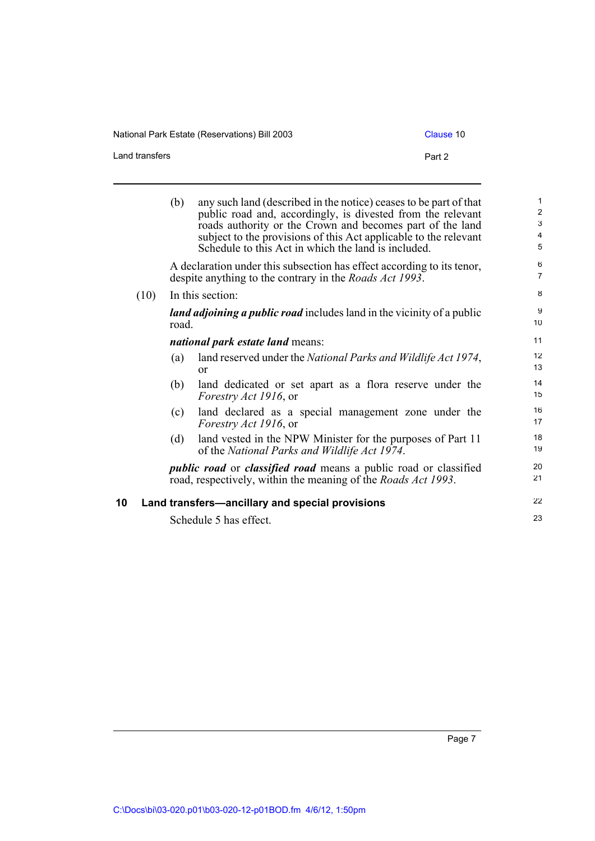| National Park Estate (Reservations) Bill 2003 | Clause 10 |
|-----------------------------------------------|-----------|
| Land transfers                                | Part 2    |

<span id="page-12-0"></span>

|    |      | (b)   | any such land (described in the notice) ceases to be part of that<br>public road and, accordingly, is divested from the relevant<br>roads authority or the Crown and becomes part of the land<br>subject to the provisions of this Act applicable to the relevant<br>Schedule to this Act in which the land is included. | 1<br>$\overline{\mathbf{c}}$<br>3<br>4<br>5 |
|----|------|-------|--------------------------------------------------------------------------------------------------------------------------------------------------------------------------------------------------------------------------------------------------------------------------------------------------------------------------|---------------------------------------------|
|    |      |       | A declaration under this subsection has effect according to its tenor,<br>despite anything to the contrary in the <i>Roads Act 1993</i> .                                                                                                                                                                                | 6<br>$\overline{7}$                         |
|    | (10) |       | In this section:                                                                                                                                                                                                                                                                                                         | 8                                           |
|    |      | road. | <i>land adjoining a public road</i> includes land in the vicinity of a public                                                                                                                                                                                                                                            | 9<br>10                                     |
|    |      |       | <i>national park estate land means:</i>                                                                                                                                                                                                                                                                                  | 11                                          |
|    |      | (a)   | land reserved under the National Parks and Wildlife Act 1974,<br>$\alpha$ r                                                                                                                                                                                                                                              | 12<br>13                                    |
|    |      | (b)   | land dedicated or set apart as a flora reserve under the<br><i>Forestry Act 1916</i> , or                                                                                                                                                                                                                                | 14<br>15                                    |
|    |      | (c)   | land declared as a special management zone under the<br><i>Forestry Act 1916</i> , or                                                                                                                                                                                                                                    | 16<br>17                                    |
|    |      | (d)   | land vested in the NPW Minister for the purposes of Part 11<br>of the National Parks and Wildlife Act 1974.                                                                                                                                                                                                              | 18<br>19                                    |
|    |      |       | <i>public road</i> or <i>classified road</i> means a public road or classified<br>road, respectively, within the meaning of the Roads Act 1993.                                                                                                                                                                          | 20<br>21                                    |
| 10 |      |       | Land transfers-ancillary and special provisions                                                                                                                                                                                                                                                                          | 22                                          |
|    |      |       | Schedule 5 has effect.                                                                                                                                                                                                                                                                                                   | 23                                          |
|    |      |       |                                                                                                                                                                                                                                                                                                                          |                                             |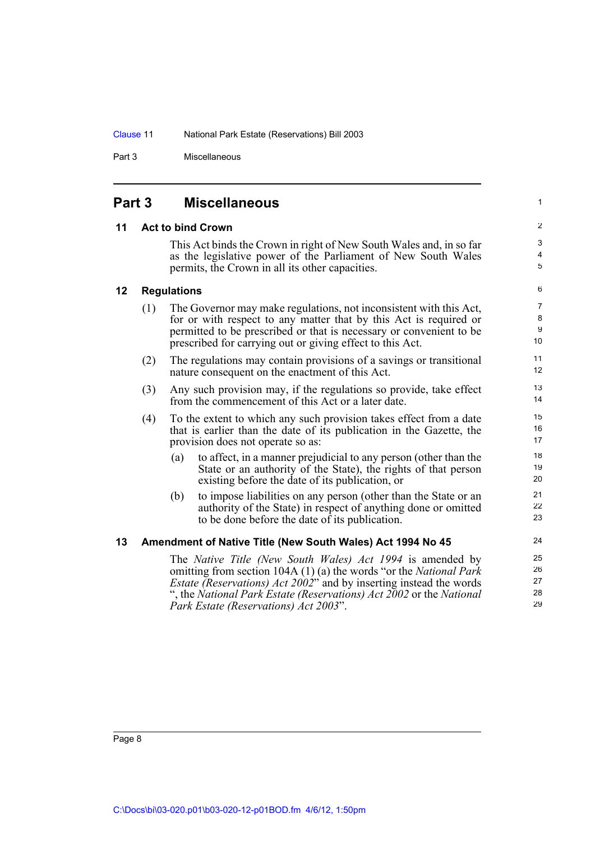Part 3 Miscellaneous

<span id="page-13-0"></span>

| Part 3<br><b>Miscellaneous</b> |  |
|--------------------------------|--|
|--------------------------------|--|

#### <span id="page-13-1"></span>**11 Act to bind Crown**

This Act binds the Crown in right of New South Wales and, in so far as the legislative power of the Parliament of New South Wales permits, the Crown in all its other capacities.

5 6

1

 $\overline{2}$ 3 4

#### <span id="page-13-2"></span>**12 Regulations**

- (1) The Governor may make regulations, not inconsistent with this Act, for or with respect to any matter that by this Act is required or permitted to be prescribed or that is necessary or convenient to be prescribed for carrying out or giving effect to this Act.
- (2) The regulations may contain provisions of a savings or transitional nature consequent on the enactment of this Act.
- (3) Any such provision may, if the regulations so provide, take effect from the commencement of this Act or a later date.
- (4) To the extent to which any such provision takes effect from a date that is earlier than the date of its publication in the Gazette, the provision does not operate so as:
	- (a) to affect, in a manner prejudicial to any person (other than the State or an authority of the State), the rights of that person existing before the date of its publication, or
	- (b) to impose liabilities on any person (other than the State or an authority of the State) in respect of anything done or omitted to be done before the date of its publication.

#### <span id="page-13-3"></span>**13 Amendment of Native Title (New South Wales) Act 1994 No 45**

The *Native Title (New South Wales) Act 1994* is amended by omitting from section 104A (1) (a) the words "or the *National Park Estate (Reservations) Act 2002*" and by inserting instead the words ", the *National Park Estate (Reservations) Act 2002* or the *National Park Estate (Reservations) Act 2003*".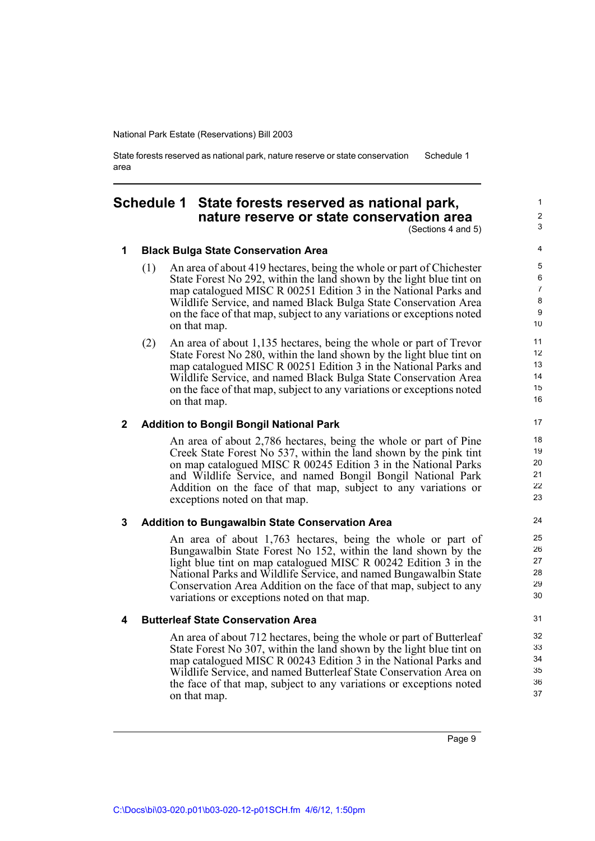State forests reserved as national park, nature reserve or state conservation area Schedule 1

# <span id="page-14-0"></span>**Schedule 1 State forests reserved as national park, nature reserve or state conservation area**

(Sections 4 and 5)

1  $\overline{2}$ 3

#### **1 Black Bulga State Conservation Area**

- (1) An area of about 419 hectares, being the whole or part of Chichester State Forest No 292, within the land shown by the light blue tint on map catalogued MISC R 00251 Edition 3 in the National Parks and Wildlife Service, and named Black Bulga State Conservation Area on the face of that map, subject to any variations or exceptions noted on that map.
- (2) An area of about 1,135 hectares, being the whole or part of Trevor State Forest No 280, within the land shown by the light blue tint on map catalogued MISC R 00251 Edition 3 in the National Parks and Wildlife Service, and named Black Bulga State Conservation Area on the face of that map, subject to any variations or exceptions noted on that map.

#### **2 Addition to Bongil Bongil National Park**

An area of about 2,786 hectares, being the whole or part of Pine Creek State Forest No 537, within the land shown by the pink tint on map catalogued MISC R 00245 Edition 3 in the National Parks and Wildlife Service, and named Bongil Bongil National Park Addition on the face of that map, subject to any variations or exceptions noted on that map.

#### **3 Addition to Bungawalbin State Conservation Area**

An area of about 1,763 hectares, being the whole or part of Bungawalbin State Forest No 152, within the land shown by the light blue tint on map catalogued MISC R 00242 Edition 3 in the National Parks and Wildlife Service, and named Bungawalbin State Conservation Area Addition on the face of that map, subject to any variations or exceptions noted on that map.

#### **4 Butterleaf State Conservation Area**

An area of about 712 hectares, being the whole or part of Butterleaf State Forest No 307, within the land shown by the light blue tint on map catalogued MISC R 00243 Edition 3 in the National Parks and Wildlife Service, and named Butterleaf State Conservation Area on the face of that map, subject to any variations or exceptions noted on that map.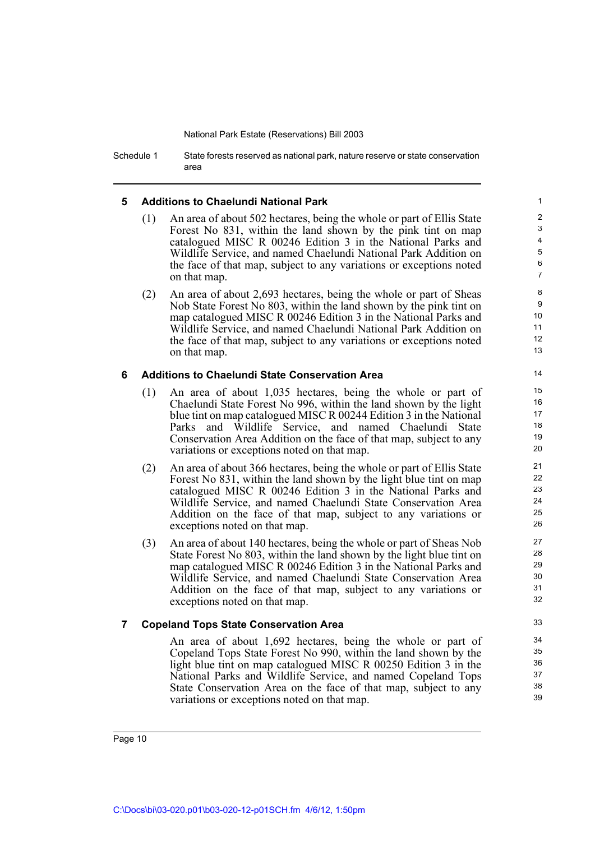Schedule 1 State forests reserved as national park, nature reserve or state conservation area

#### **5 Additions to Chaelundi National Park**

(1) An area of about 502 hectares, being the whole or part of Ellis State Forest No 831, within the land shown by the pink tint on map catalogued MISC R 00246 Edition 3 in the National Parks and Wildlife Service, and named Chaelundi National Park Addition on the face of that map, subject to any variations or exceptions noted on that map.

(2) An area of about 2,693 hectares, being the whole or part of Sheas Nob State Forest No 803, within the land shown by the pink tint on map catalogued MISC R 00246 Edition 3 in the National Parks and Wildlife Service, and named Chaelundi National Park Addition on the face of that map, subject to any variations or exceptions noted on that map.

#### **6 Additions to Chaelundi State Conservation Area**

- (1) An area of about 1,035 hectares, being the whole or part of Chaelundi State Forest No 996, within the land shown by the light blue tint on map catalogued MISC R 00244 Edition 3 in the National Parks and Wildlife Service, and named Chaelundi State Conservation Area Addition on the face of that map, subject to any variations or exceptions noted on that map.
- (2) An area of about 366 hectares, being the whole or part of Ellis State Forest No 831, within the land shown by the light blue tint on map catalogued MISC R 00246 Edition 3 in the National Parks and Wildlife Service, and named Chaelundi State Conservation Area Addition on the face of that map, subject to any variations or exceptions noted on that map.
- (3) An area of about 140 hectares, being the whole or part of Sheas Nob State Forest No 803, within the land shown by the light blue tint on map catalogued MISC R 00246 Edition 3 in the National Parks and Wildlife Service, and named Chaelundi State Conservation Area Addition on the face of that map, subject to any variations or exceptions noted on that map.

#### **7 Copeland Tops State Conservation Area**

An area of about 1,692 hectares, being the whole or part of Copeland Tops State Forest No 990, within the land shown by the light blue tint on map catalogued MISC R 00250 Edition 3 in the National Parks and Wildlife Service, and named Copeland Tops State Conservation Area on the face of that map, subject to any variations or exceptions noted on that map.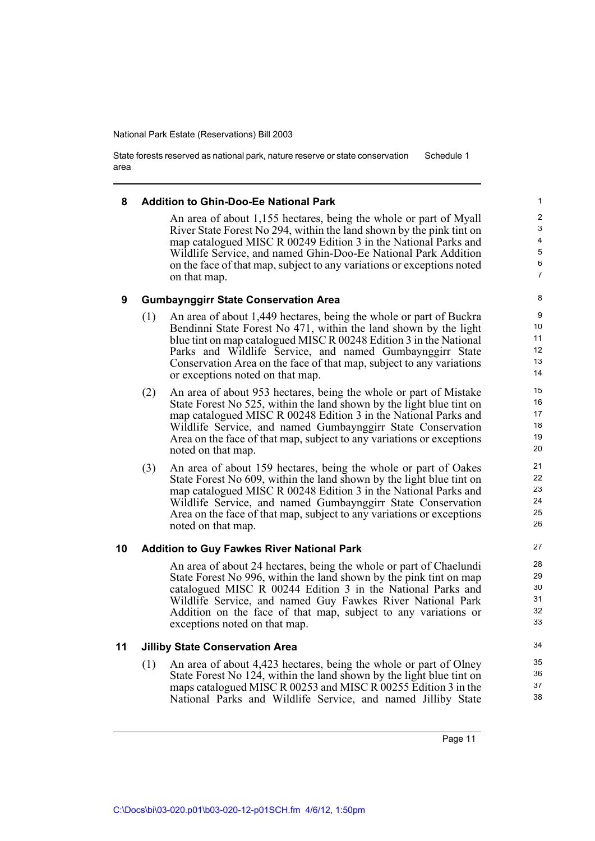State forests reserved as national park, nature reserve or state conservation area Schedule 1

#### **8 Addition to Ghin-Doo-Ee National Park**

An area of about 1,155 hectares, being the whole or part of Myall River State Forest No 294, within the land shown by the pink tint on map catalogued MISC R 00249 Edition 3 in the National Parks and Wildlife Service, and named Ghin-Doo-Ee National Park Addition on the face of that map, subject to any variations or exceptions noted on that map.

#### **9 Gumbaynggirr State Conservation Area**

- (1) An area of about 1,449 hectares, being the whole or part of Buckra Bendinni State Forest No 471, within the land shown by the light blue tint on map catalogued MISC R 00248 Edition 3 in the National Parks and Wildlife Service, and named Gumbaynggirr State Conservation Area on the face of that map, subject to any variations or exceptions noted on that map.
- (2) An area of about 953 hectares, being the whole or part of Mistake State Forest No 525, within the land shown by the light blue tint on map catalogued MISC R 00248 Edition 3 in the National Parks and Wildlife Service, and named Gumbaynggirr State Conservation Area on the face of that map, subject to any variations or exceptions noted on that map.
- (3) An area of about 159 hectares, being the whole or part of Oakes State Forest No 609, within the land shown by the light blue tint on map catalogued MISC R 00248 Edition 3 in the National Parks and Wildlife Service, and named Gumbaynggirr State Conservation Area on the face of that map, subject to any variations or exceptions noted on that map.

#### **10 Addition to Guy Fawkes River National Park**

An area of about 24 hectares, being the whole or part of Chaelundi State Forest No 996, within the land shown by the pink tint on map catalogued MISC R 00244 Edition 3 in the National Parks and Wildlife Service, and named Guy Fawkes River National Park Addition on the face of that map, subject to any variations or exceptions noted on that map.

#### **11 Jilliby State Conservation Area**

(1) An area of about 4,423 hectares, being the whole or part of Olney State Forest No 124, within the land shown by the light blue tint on maps catalogued MISC R 00253 and MISC R 00255 Edition 3 in the National Parks and Wildlife Service, and named Jilliby State

Page 11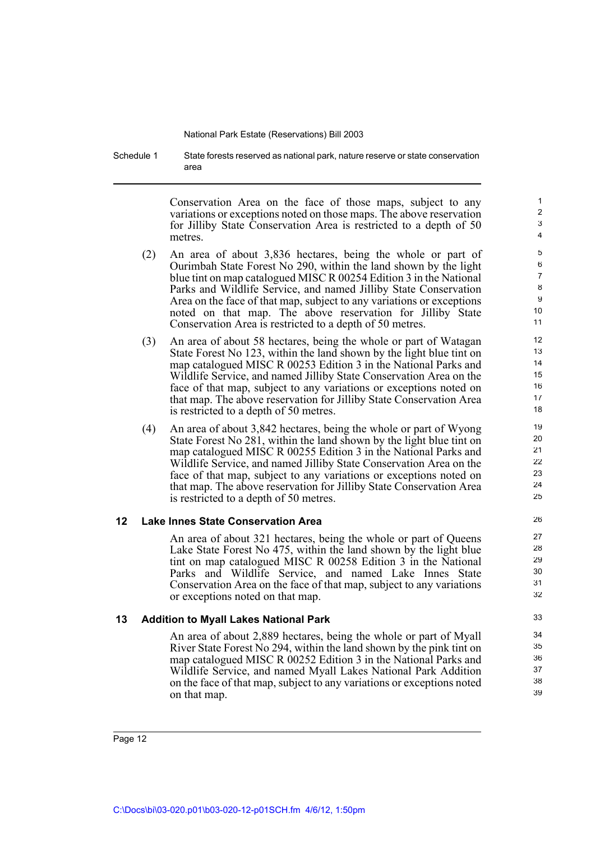Schedule 1 State forests reserved as national park, nature reserve or state conservation area

> Conservation Area on the face of those maps, subject to any variations or exceptions noted on those maps. The above reservation for Jilliby State Conservation Area is restricted to a depth of 50 metres.

- (2) An area of about 3,836 hectares, being the whole or part of Ourimbah State Forest No 290, within the land shown by the light blue tint on map catalogued MISC R 00254 Edition 3 in the National Parks and Wildlife Service, and named Jilliby State Conservation Area on the face of that map, subject to any variations or exceptions noted on that map. The above reservation for Jilliby State Conservation Area is restricted to a depth of 50 metres.
- (3) An area of about 58 hectares, being the whole or part of Watagan State Forest No 123, within the land shown by the light blue tint on map catalogued MISC R 00253 Edition 3 in the National Parks and Wildlife Service, and named Jilliby State Conservation Area on the face of that map, subject to any variations or exceptions noted on that map. The above reservation for Jilliby State Conservation Area is restricted to a depth of 50 metres.
- (4) An area of about 3,842 hectares, being the whole or part of Wyong State Forest No 281, within the land shown by the light blue tint on map catalogued MISC R 00255 Edition 3 in the National Parks and Wildlife Service, and named Jilliby State Conservation Area on the face of that map, subject to any variations or exceptions noted on that map. The above reservation for Jilliby State Conservation Area is restricted to a depth of 50 metres.

#### **12 Lake Innes State Conservation Area**

An area of about 321 hectares, being the whole or part of Queens Lake State Forest No 475, within the land shown by the light blue tint on map catalogued MISC R 00258 Edition 3 in the National Parks and Wildlife Service, and named Lake Innes State Conservation Area on the face of that map, subject to any variations or exceptions noted on that map.

#### **13 Addition to Myall Lakes National Park**

An area of about 2,889 hectares, being the whole or part of Myall River State Forest No 294, within the land shown by the pink tint on map catalogued MISC R 00252 Edition 3 in the National Parks and Wildlife Service, and named Myall Lakes National Park Addition on the face of that map, subject to any variations or exceptions noted on that map.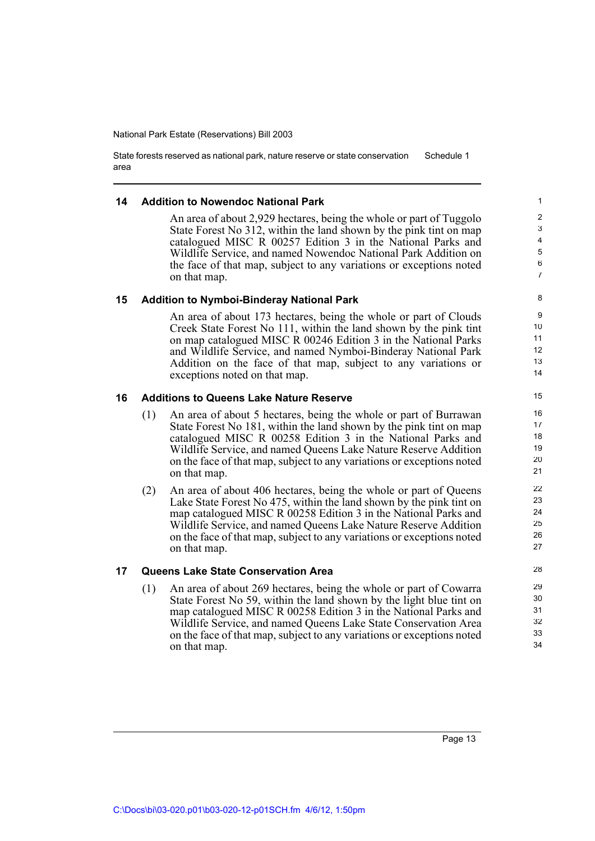State forests reserved as national park, nature reserve or state conservation area Schedule 1

#### **14 Addition to Nowendoc National Park**

An area of about 2,929 hectares, being the whole or part of Tuggolo State Forest No 312, within the land shown by the pink tint on map catalogued MISC R 00257 Edition 3 in the National Parks and Wildlife Service, and named Nowendoc National Park Addition on the face of that map, subject to any variations or exceptions noted on that map.

#### **15 Addition to Nymboi-Binderay National Park**

An area of about 173 hectares, being the whole or part of Clouds Creek State Forest No 111, within the land shown by the pink tint on map catalogued MISC R 00246 Edition 3 in the National Parks and Wildlife Service, and named Nymboi-Binderay National Park Addition on the face of that map, subject to any variations or exceptions noted on that map.

#### **16 Additions to Queens Lake Nature Reserve**

- (1) An area of about 5 hectares, being the whole or part of Burrawan State Forest No 181, within the land shown by the pink tint on map catalogued MISC R 00258 Edition 3 in the National Parks and Wildlife Service, and named Queens Lake Nature Reserve Addition on the face of that map, subject to any variations or exceptions noted on that map.
- (2) An area of about 406 hectares, being the whole or part of Queens Lake State Forest No 475, within the land shown by the pink tint on map catalogued MISC R 00258 Edition 3 in the National Parks and Wildlife Service, and named Queens Lake Nature Reserve Addition on the face of that map, subject to any variations or exceptions noted on that map.

#### **17 Queens Lake State Conservation Area**

(1) An area of about 269 hectares, being the whole or part of Cowarra State Forest No 59, within the land shown by the light blue tint on map catalogued MISC R 00258 Edition 3 in the National Parks and Wildlife Service, and named Queens Lake State Conservation Area on the face of that map, subject to any variations or exceptions noted on that map.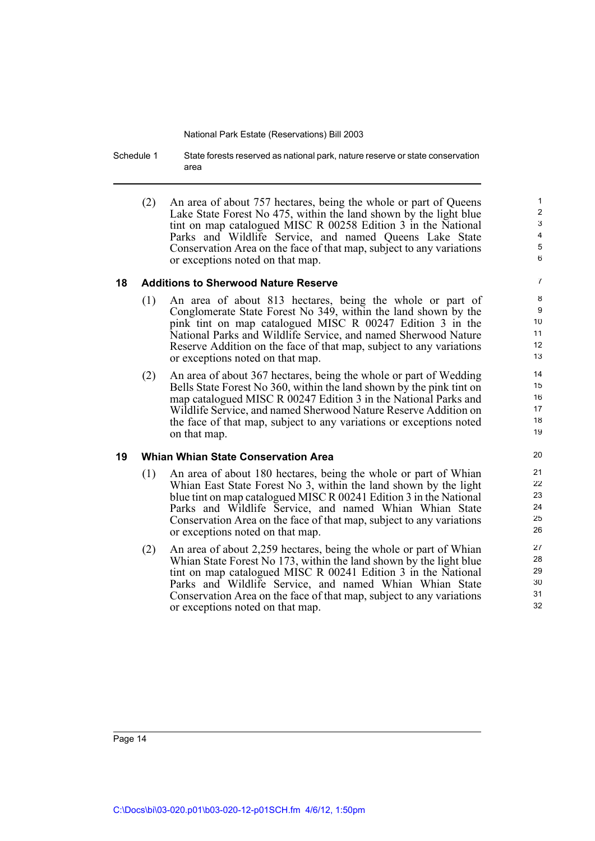Schedule 1 State forests reserved as national park, nature reserve or state conservation area

(2) An area of about 757 hectares, being the whole or part of Queens Lake State Forest No 475, within the land shown by the light blue tint on map catalogued MISC R 00258 Edition 3 in the National Parks and Wildlife Service, and named Queens Lake State Conservation Area on the face of that map, subject to any variations or exceptions noted on that map.

#### **18 Additions to Sherwood Nature Reserve**

- (1) An area of about 813 hectares, being the whole or part of Conglomerate State Forest No 349, within the land shown by the pink tint on map catalogued MISC R 00247 Edition 3 in the National Parks and Wildlife Service, and named Sherwood Nature Reserve Addition on the face of that map, subject to any variations or exceptions noted on that map.
- (2) An area of about 367 hectares, being the whole or part of Wedding Bells State Forest No 360, within the land shown by the pink tint on map catalogued MISC R 00247 Edition 3 in the National Parks and Wildlife Service, and named Sherwood Nature Reserve Addition on the face of that map, subject to any variations or exceptions noted on that map.

#### **19 Whian Whian State Conservation Area**

- (1) An area of about 180 hectares, being the whole or part of Whian Whian East State Forest No 3, within the land shown by the light blue tint on map catalogued MISC R 00241 Edition 3 in the National Parks and Wildlife Service, and named Whian Whian State Conservation Area on the face of that map, subject to any variations or exceptions noted on that map.
- (2) An area of about 2,259 hectares, being the whole or part of Whian Whian State Forest No 173, within the land shown by the light blue tint on map catalogued MISC R 00241 Edition 3 in the National Parks and Wildlife Service, and named Whian Whian State Conservation Area on the face of that map, subject to any variations or exceptions noted on that map.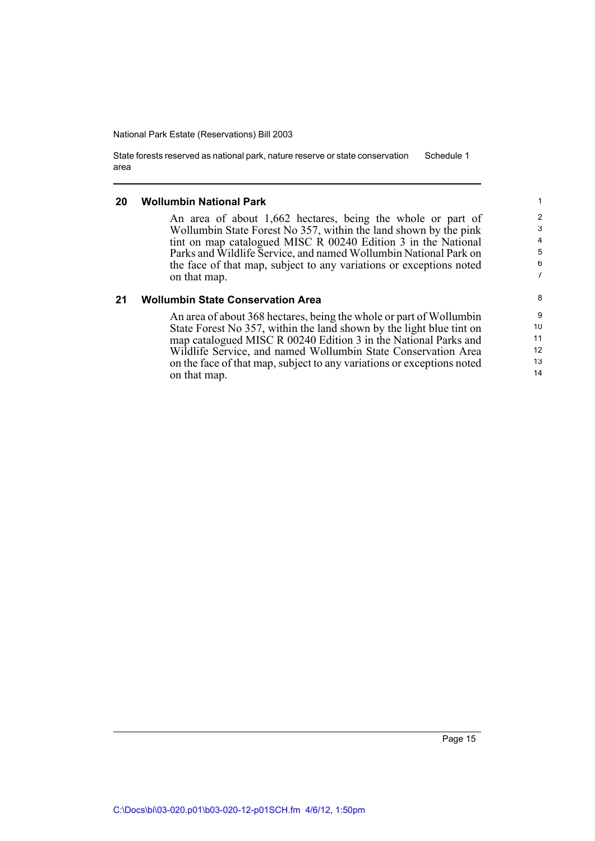State forests reserved as national park, nature reserve or state conservation area Schedule 1

#### **20 Wollumbin National Park**

An area of about 1,662 hectares, being the whole or part of Wollumbin State Forest No 357, within the land shown by the pink tint on map catalogued MISC R 00240 Edition 3 in the National Parks and Wildlife Service, and named Wollumbin National Park on the face of that map, subject to any variations or exceptions noted on that map.

#### **21 Wollumbin State Conservation Area**

An area of about 368 hectares, being the whole or part of Wollumbin State Forest No 357, within the land shown by the light blue tint on map catalogued MISC R 00240 Edition 3 in the National Parks and Wildlife Service, and named Wollumbin State Conservation Area on the face of that map, subject to any variations or exceptions noted on that map.

14

1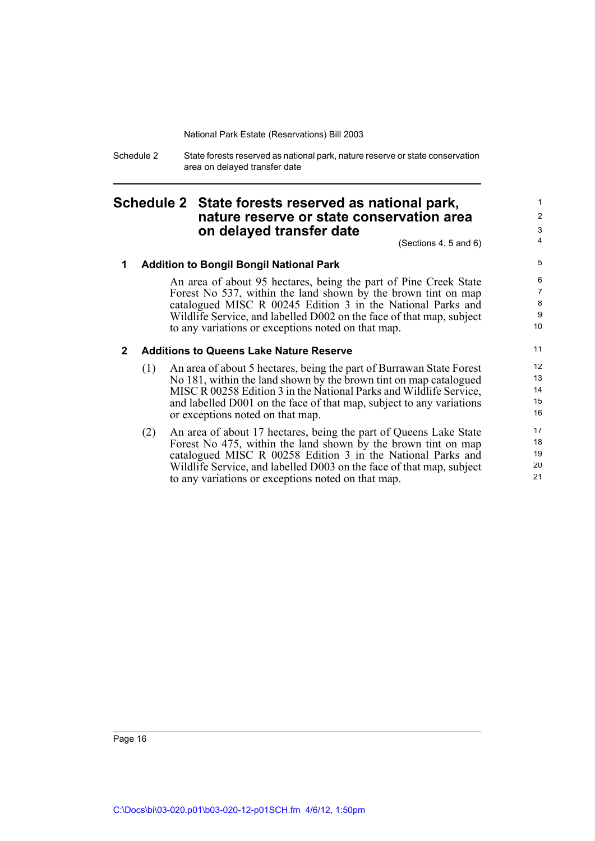Schedule 2 State forests reserved as national park, nature reserve or state conservation area on delayed transfer date

## <span id="page-21-0"></span>**Schedule 2 State forests reserved as national park, nature reserve or state conservation area on delayed transfer date**

(Sections 4, 5 and 6)

#### **1 Addition to Bongil Bongil National Park**

An area of about 95 hectares, being the part of Pine Creek State Forest No 537, within the land shown by the brown tint on map catalogued MISC R 00245 Edition 3 in the National Parks and Wildlife Service, and labelled D002 on the face of that map, subject to any variations or exceptions noted on that map.

#### **2 Additions to Queens Lake Nature Reserve**

- (1) An area of about 5 hectares, being the part of Burrawan State Forest No 181, within the land shown by the brown tint on map catalogued MISC R 00258 Edition 3 in the National Parks and Wildlife Service, and labelled D001 on the face of that map, subject to any variations or exceptions noted on that map.
- (2) An area of about 17 hectares, being the part of Queens Lake State Forest No 475, within the land shown by the brown tint on map catalogued MISC R 00258 Edition 3 in the National Parks and Wildlife Service, and labelled D003 on the face of that map, subject to any variations or exceptions noted on that map.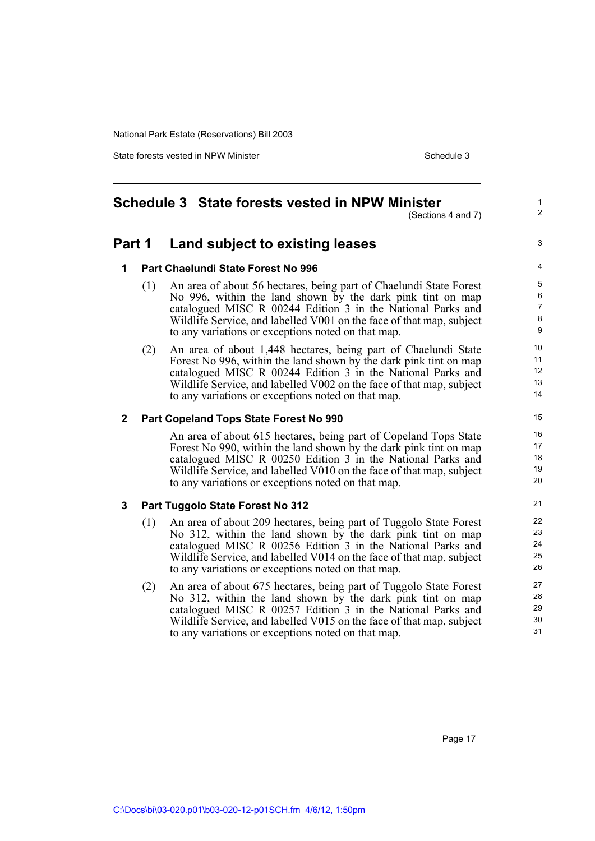State forests vested in NPW Minister Schedule 3 and Schedule 3

# <span id="page-22-0"></span>**Schedule 3 State forests vested in NPW Minister**

(Sections 4 and 7)

1 2

3

## **Part 1 Land subject to existing leases**

#### **1 Part Chaelundi State Forest No 996**

- (1) An area of about 56 hectares, being part of Chaelundi State Forest No 996, within the land shown by the dark pink tint on map catalogued MISC R 00244 Edition 3 in the National Parks and Wildlife Service, and labelled V001 on the face of that map, subject to any variations or exceptions noted on that map.
- (2) An area of about 1,448 hectares, being part of Chaelundi State Forest No 996, within the land shown by the dark pink tint on map catalogued MISC R 00244 Edition 3 in the National Parks and Wildlife Service, and labelled V002 on the face of that map, subject to any variations or exceptions noted on that map.

#### **2 Part Copeland Tops State Forest No 990**

An area of about 615 hectares, being part of Copeland Tops State Forest No 990, within the land shown by the dark pink tint on map catalogued MISC R 00250 Edition 3 in the National Parks and Wildlife Service, and labelled V010 on the face of that map, subject to any variations or exceptions noted on that map.

### **3 Part Tuggolo State Forest No 312**

- (1) An area of about 209 hectares, being part of Tuggolo State Forest No 312, within the land shown by the dark pink tint on map catalogued MISC R 00256 Edition 3 in the National Parks and Wildlife Service, and labelled V014 on the face of that map, subject to any variations or exceptions noted on that map.
- (2) An area of about 675 hectares, being part of Tuggolo State Forest No 312, within the land shown by the dark pink tint on map catalogued MISC R 00257 Edition 3 in the National Parks and Wildlife Service, and labelled V015 on the face of that map, subject to any variations or exceptions noted on that map.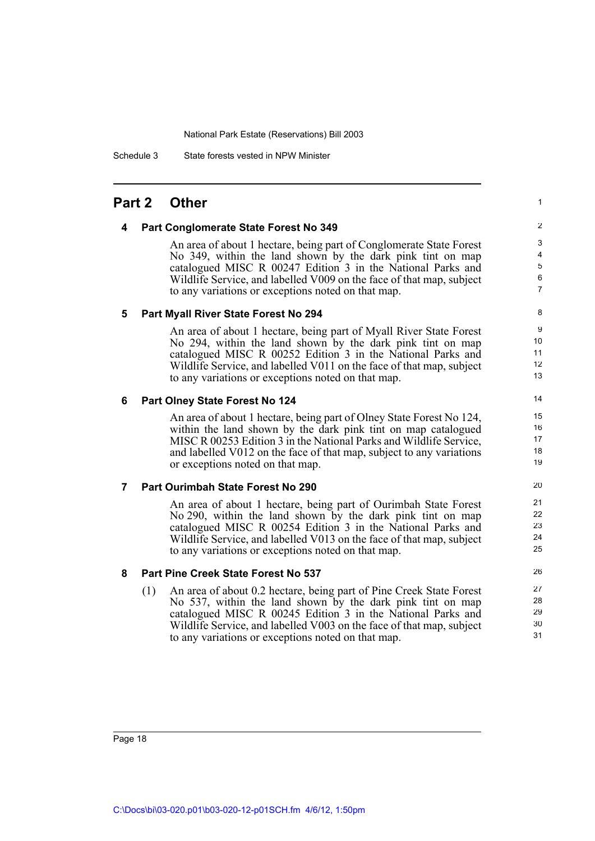Schedule 3 State forests vested in NPW Minister

### **Part 2 Other**

#### **4 Part Conglomerate State Forest No 349**

An area of about 1 hectare, being part of Conglomerate State Forest No 349, within the land shown by the dark pink tint on map catalogued MISC R 00247 Edition 3 in the National Parks and Wildlife Service, and labelled V009 on the face of that map, subject to any variations or exceptions noted on that map.

1

#### **5 Part Myall River State Forest No 294**

An area of about 1 hectare, being part of Myall River State Forest No 294, within the land shown by the dark pink tint on map catalogued MISC R 00252 Edition 3 in the National Parks and Wildlife Service, and labelled V011 on the face of that map, subject to any variations or exceptions noted on that map.

#### **6 Part Olney State Forest No 124**

An area of about 1 hectare, being part of Olney State Forest No 124, within the land shown by the dark pink tint on map catalogued MISC R 00253 Edition 3 in the National Parks and Wildlife Service, and labelled V012 on the face of that map, subject to any variations or exceptions noted on that map.

#### **7 Part Ourimbah State Forest No 290**

An area of about 1 hectare, being part of Ourimbah State Forest No 290, within the land shown by the dark pink tint on map catalogued MISC R 00254 Edition 3 in the National Parks and Wildlife Service, and labelled V013 on the face of that map, subject to any variations or exceptions noted on that map.

#### **8 Part Pine Creek State Forest No 537**

(1) An area of about 0.2 hectare, being part of Pine Creek State Forest No 537, within the land shown by the dark pink tint on map catalogued MISC R 00245 Edition 3 in the National Parks and Wildlife Service, and labelled V003 on the face of that map, subject to any variations or exceptions noted on that map.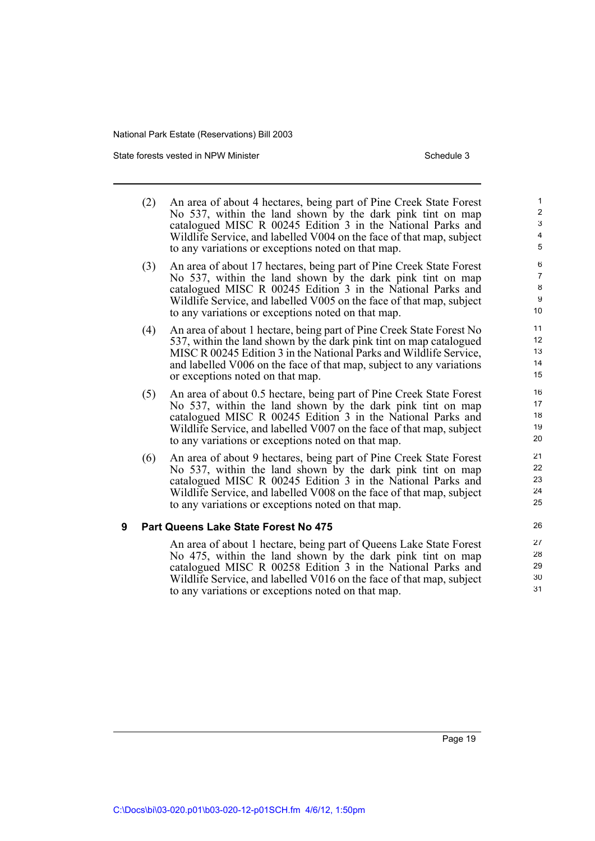State forests vested in NPW Minister Schedule 3 and Schedule 3

- (2) An area of about 4 hectares, being part of Pine Creek State Forest No 537, within the land shown by the dark pink tint on map catalogued MISC R 00245 Edition 3 in the National Parks and Wildlife Service, and labelled V004 on the face of that map, subject to any variations or exceptions noted on that map.
- (3) An area of about 17 hectares, being part of Pine Creek State Forest No 537, within the land shown by the dark pink tint on map catalogued MISC R 00245 Edition 3 in the National Parks and Wildlife Service, and labelled V005 on the face of that map, subject to any variations or exceptions noted on that map.
- (4) An area of about 1 hectare, being part of Pine Creek State Forest No 537, within the land shown by the dark pink tint on map catalogued MISC R 00245 Edition 3 in the National Parks and Wildlife Service, and labelled V006 on the face of that map, subject to any variations or exceptions noted on that map.
- (5) An area of about 0.5 hectare, being part of Pine Creek State Forest No 537, within the land shown by the dark pink tint on map catalogued MISC R 00245 Edition 3 in the National Parks and Wildlife Service, and labelled V007 on the face of that map, subject to any variations or exceptions noted on that map.
- (6) An area of about 9 hectares, being part of Pine Creek State Forest No 537, within the land shown by the dark pink tint on map catalogued MISC R 00245 Edition 3 in the National Parks and Wildlife Service, and labelled V008 on the face of that map, subject to any variations or exceptions noted on that map.

#### **9 Part Queens Lake State Forest No 475**

An area of about 1 hectare, being part of Queens Lake State Forest No 475, within the land shown by the dark pink tint on map catalogued MISC R 00258 Edition 3 in the National Parks and Wildlife Service, and labelled V016 on the face of that map, subject to any variations or exceptions noted on that map.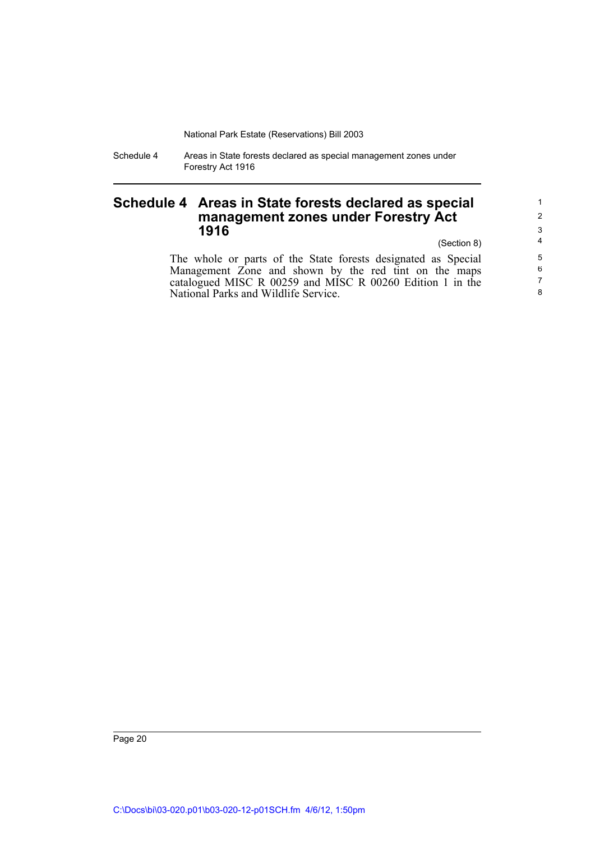Schedule 4 Areas in State forests declared as special management zones under Forestry Act 1916

### <span id="page-25-0"></span>**Schedule 4 Areas in State forests declared as special management zones under Forestry Act 1916**

(Section 8)

The whole or parts of the State forests designated as Special Management Zone and shown by the red tint on the maps catalogued MISC R 00259 and MISC R 00260 Edition 1 in the National Parks and Wildlife Service.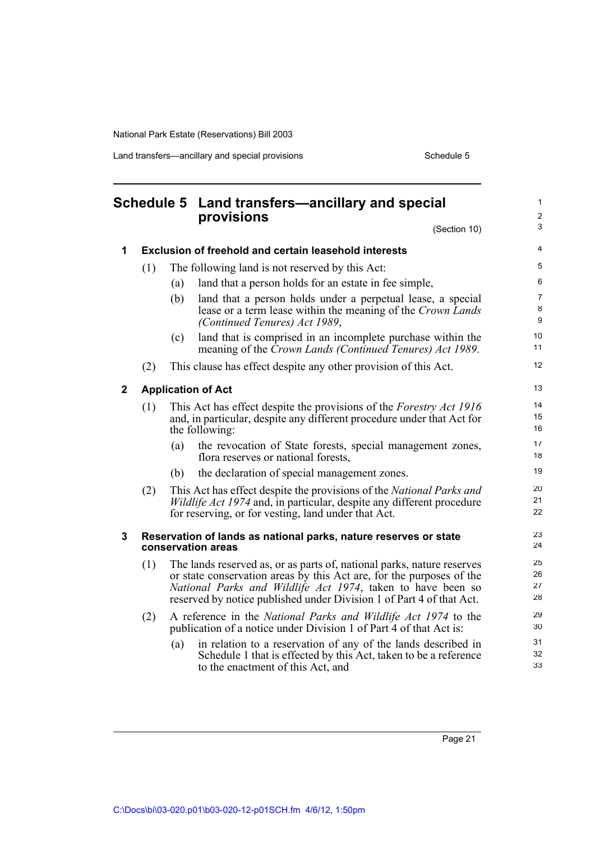Land transfers—ancillary and special provisions example 3 Schedule 5

<span id="page-26-0"></span>

|                |     |     | Schedule 5 Land transfers-ancillary and special<br>provisions                                                                                                                                                                                                                         |                                         |
|----------------|-----|-----|---------------------------------------------------------------------------------------------------------------------------------------------------------------------------------------------------------------------------------------------------------------------------------------|-----------------------------------------|
|                |     |     | (Section 10)                                                                                                                                                                                                                                                                          | 3                                       |
| 1              |     |     | <b>Exclusion of freehold and certain leasehold interests</b>                                                                                                                                                                                                                          | 4                                       |
|                | (1) |     | The following land is not reserved by this Act:                                                                                                                                                                                                                                       | 5                                       |
|                |     | (a) | land that a person holds for an estate in fee simple,                                                                                                                                                                                                                                 | 6                                       |
|                |     | (b) | land that a person holds under a perpetual lease, a special<br>lease or a term lease within the meaning of the Crown Lands<br>(Continued Tenures) Act 1989,                                                                                                                           | $\overline{7}$<br>8<br>$\boldsymbol{9}$ |
|                |     | (c) | land that is comprised in an incomplete purchase within the<br>meaning of the <i>Crown Lands</i> ( <i>Continued Tenures</i> ) <i>Act 1989</i> .                                                                                                                                       | 10<br>11                                |
|                | (2) |     | This clause has effect despite any other provision of this Act.                                                                                                                                                                                                                       | 12                                      |
| $\overline{2}$ |     |     | <b>Application of Act</b>                                                                                                                                                                                                                                                             | 13                                      |
|                | (1) |     | This Act has effect despite the provisions of the Forestry Act 1916<br>and, in particular, despite any different procedure under that Act for<br>the following:                                                                                                                       | 14<br>15<br>16                          |
|                |     | (a) | the revocation of State forests, special management zones,<br>flora reserves or national forests,                                                                                                                                                                                     | 17<br>18                                |
|                |     | (b) | the declaration of special management zones.                                                                                                                                                                                                                                          | 19                                      |
|                | (2) |     | This Act has effect despite the provisions of the National Parks and<br><i>Wildlife Act 1974</i> and, in particular, despite any different procedure<br>for reserving, or for vesting, land under that Act.                                                                           | 20<br>21<br>22                          |
| 3              |     |     | Reservation of lands as national parks, nature reserves or state<br>conservation areas                                                                                                                                                                                                | 23<br>24                                |
|                | (1) |     | The lands reserved as, or as parts of, national parks, nature reserves<br>or state conservation areas by this Act are, for the purposes of the<br>National Parks and Wildlife Act 1974, taken to have been so<br>reserved by notice published under Division 1 of Part 4 of that Act. | 25<br>26<br>27<br>28                    |
|                | (2) |     | A reference in the National Parks and Wildlife Act 1974 to the<br>publication of a notice under Division 1 of Part 4 of that Act is:                                                                                                                                                  | 29<br>30                                |
|                |     | (a) | in relation to a reservation of any of the lands described in<br>Schedule 1 that is effected by this Act, taken to be a reference<br>to the enactment of this Act, and                                                                                                                | 31<br>32<br>33                          |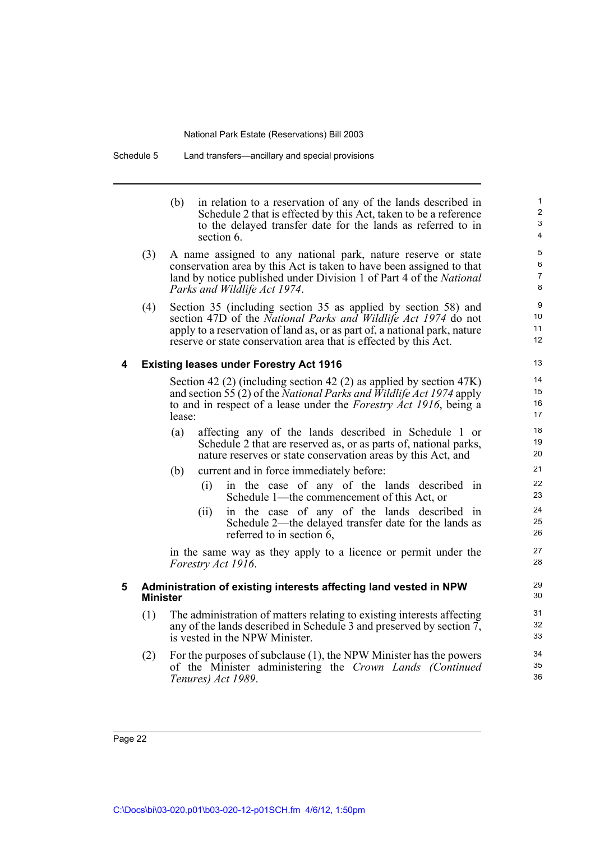Schedule 5 Land transfers—ancillary and special provisions

(b) in relation to a reservation of any of the lands described in Schedule 2 that is effected by this Act, taken to be a reference to the delayed transfer date for the lands as referred to in section 6.

- (3) A name assigned to any national park, nature reserve or state conservation area by this Act is taken to have been assigned to that land by notice published under Division 1 of Part 4 of the *National Parks and Wildlife Act 1974*.
- (4) Section 35 (including section 35 as applied by section 58) and section 47D of the *National Parks and Wildlife Act 1974* do not apply to a reservation of land as, or as part of, a national park, nature reserve or state conservation area that is effected by this Act.

#### **4 Existing leases under Forestry Act 1916**

Section 42 (2) (including section 42 (2) as applied by section 47K) and section 55 (2) of the *National Parks and Wildlife Act 1974* apply to and in respect of a lease under the *Forestry Act 1916*, being a lease:

- (a) affecting any of the lands described in Schedule 1 or Schedule 2 that are reserved as, or as parts of, national parks, nature reserves or state conservation areas by this Act, and
- (b) current and in force immediately before:
	- (i) in the case of any of the lands described in Schedule 1—the commencement of this Act, or
	- (ii) in the case of any of the lands described in Schedule 2—the delayed transfer date for the lands as referred to in section 6,

in the same way as they apply to a licence or permit under the *Forestry Act 1916*.

#### **5 Administration of existing interests affecting land vested in NPW Minister**

- (1) The administration of matters relating to existing interests affecting any of the lands described in Schedule 3 and preserved by section 7, is vested in the NPW Minister.
- (2) For the purposes of subclause (1), the NPW Minister has the powers of the Minister administering the *Crown Lands (Continued Tenures) Act 1989*.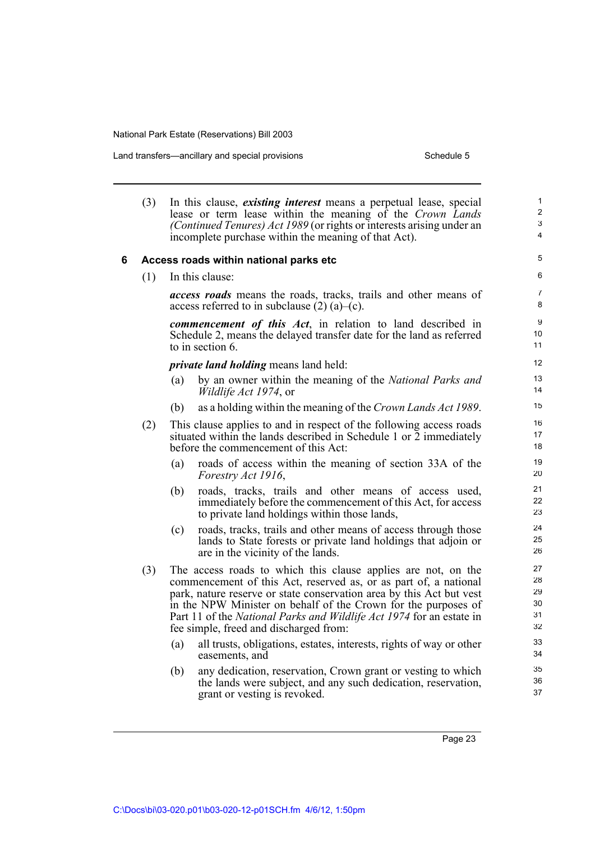Land transfers—ancillary and special provisions example 3 Schedule 5

|   | (3) |     | In this clause, <i>existing interest</i> means a perpetual lease, special<br>lease or term lease within the meaning of the Crown Lands<br>(Continued Tenures) Act 1989 (or rights or interests arising under an<br>incomplete purchase within the meaning of that Act).                                                                                                                       | $\mathbf{1}$<br>$\boldsymbol{2}$<br>$\ensuremath{\mathsf{3}}$<br>4 |
|---|-----|-----|-----------------------------------------------------------------------------------------------------------------------------------------------------------------------------------------------------------------------------------------------------------------------------------------------------------------------------------------------------------------------------------------------|--------------------------------------------------------------------|
| 6 |     |     | Access roads within national parks etc                                                                                                                                                                                                                                                                                                                                                        | 5                                                                  |
|   | (1) |     | In this clause:                                                                                                                                                                                                                                                                                                                                                                               | 6                                                                  |
|   |     |     | <i>access roads</i> means the roads, tracks, trails and other means of<br>access referred to in subclause $(2)$ (a)–(c).                                                                                                                                                                                                                                                                      | 7<br>8                                                             |
|   |     |     | commencement of this Act, in relation to land described in<br>Schedule 2, means the delayed transfer date for the land as referred<br>to in section 6.                                                                                                                                                                                                                                        | 9<br>10<br>11                                                      |
|   |     |     | private land holding means land held:                                                                                                                                                                                                                                                                                                                                                         | 12                                                                 |
|   |     | (a) | by an owner within the meaning of the National Parks and<br><i>Wildlife Act 1974</i> , or                                                                                                                                                                                                                                                                                                     | 13<br>14                                                           |
|   |     | (b) | as a holding within the meaning of the Crown Lands Act 1989.                                                                                                                                                                                                                                                                                                                                  | 15                                                                 |
|   | (2) |     | This clause applies to and in respect of the following access roads<br>situated within the lands described in Schedule 1 or 2 immediately<br>before the commencement of this Act:                                                                                                                                                                                                             | 16<br>17<br>18                                                     |
|   |     | (a) | roads of access within the meaning of section 33A of the<br>Forestry Act 1916,                                                                                                                                                                                                                                                                                                                | 19<br>20                                                           |
|   |     | (b) | roads, tracks, trails and other means of access used,<br>immediately before the commencement of this Act, for access<br>to private land holdings within those lands,                                                                                                                                                                                                                          | 21<br>22<br>23                                                     |
|   |     | (c) | roads, tracks, trails and other means of access through those<br>lands to State forests or private land holdings that adjoin or<br>are in the vicinity of the lands.                                                                                                                                                                                                                          | 24<br>25<br>26                                                     |
|   | (3) |     | The access roads to which this clause applies are not, on the<br>commencement of this Act, reserved as, or as part of, a national<br>park, nature reserve or state conservation area by this Act but vest<br>in the NPW Minister on behalf of the Crown for the purposes of<br>Part 11 of the National Parks and Wildlife Act 1974 for an estate in<br>fee simple, freed and discharged from: | 27<br>28<br>29<br>30<br>31<br>32                                   |
|   |     | (a) | all trusts, obligations, estates, interests, rights of way or other<br>easements, and                                                                                                                                                                                                                                                                                                         | 33<br>34                                                           |
|   |     | (b) | any dedication, reservation, Crown grant or vesting to which<br>the lands were subject, and any such dedication, reservation,<br>grant or vesting is revoked.                                                                                                                                                                                                                                 | 35<br>36<br>37                                                     |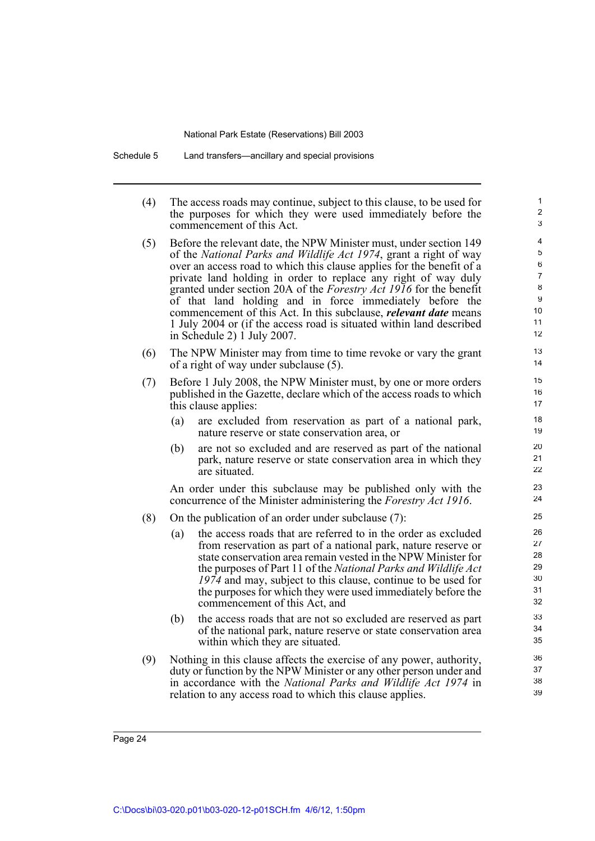Schedule 5 Land transfers—ancillary and special provisions

(4) The access roads may continue, subject to this clause, to be used for the purposes for which they were used immediately before the commencement of this Act.

- (5) Before the relevant date, the NPW Minister must, under section 149 of the *National Parks and Wildlife Act 1974*, grant a right of way over an access road to which this clause applies for the benefit of a private land holding in order to replace any right of way duly granted under section 20A of the *Forestry Act 1916* for the benefit of that land holding and in force immediately before the commencement of this Act. In this subclause, *relevant date* means 1 July 2004 or (if the access road is situated within land described in Schedule 2) 1 July 2007.
- (6) The NPW Minister may from time to time revoke or vary the grant of a right of way under subclause (5).
- (7) Before 1 July 2008, the NPW Minister must, by one or more orders published in the Gazette, declare which of the access roads to which this clause applies:
	- (a) are excluded from reservation as part of a national park, nature reserve or state conservation area, or
	- (b) are not so excluded and are reserved as part of the national park, nature reserve or state conservation area in which they are situated.

An order under this subclause may be published only with the concurrence of the Minister administering the *Forestry Act 1916*.

- (8) On the publication of an order under subclause (7):
	- (a) the access roads that are referred to in the order as excluded from reservation as part of a national park, nature reserve or state conservation area remain vested in the NPW Minister for the purposes of Part 11 of the *National Parks and Wildlife Act 1974* and may, subject to this clause, continue to be used for the purposes for which they were used immediately before the commencement of this Act, and
	- (b) the access roads that are not so excluded are reserved as part of the national park, nature reserve or state conservation area within which they are situated.
- (9) Nothing in this clause affects the exercise of any power, authority, duty or function by the NPW Minister or any other person under and in accordance with the *National Parks and Wildlife Act 1974* in relation to any access road to which this clause applies.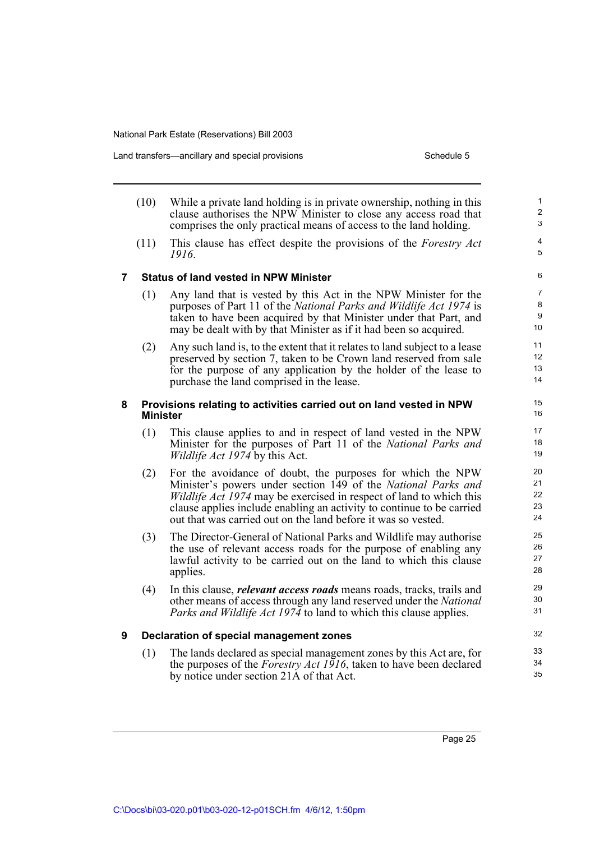Land transfers—ancillary and special provisions Schedule 5

- (10) While a private land holding is in private ownership, nothing in this clause authorises the NPW Minister to close any access road that comprises the only practical means of access to the land holding.
- (11) This clause has effect despite the provisions of the *Forestry Act 1916*.

#### **7 Status of land vested in NPW Minister**

- (1) Any land that is vested by this Act in the NPW Minister for the purposes of Part 11 of the *National Parks and Wildlife Act 1974* is taken to have been acquired by that Minister under that Part, and may be dealt with by that Minister as if it had been so acquired.
- (2) Any such land is, to the extent that it relates to land subject to a lease preserved by section 7, taken to be Crown land reserved from sale for the purpose of any application by the holder of the lease to purchase the land comprised in the lease.

#### **8 Provisions relating to activities carried out on land vested in NPW Minister**

- (1) This clause applies to and in respect of land vested in the NPW Minister for the purposes of Part 11 of the *National Parks and Wildlife Act 1974* by this Act.
- (2) For the avoidance of doubt, the purposes for which the NPW Minister's powers under section 149 of the *National Parks and Wildlife Act 1974* may be exercised in respect of land to which this clause applies include enabling an activity to continue to be carried out that was carried out on the land before it was so vested.
- (3) The Director-General of National Parks and Wildlife may authorise the use of relevant access roads for the purpose of enabling any lawful activity to be carried out on the land to which this clause applies.
- (4) In this clause, *relevant access roads* means roads, tracks, trails and other means of access through any land reserved under the *National Parks and Wildlife Act 1974* to land to which this clause applies.

#### **9 Declaration of special management zones**

(1) The lands declared as special management zones by this Act are, for the purposes of the *Forestry Act 1916*, taken to have been declared by notice under section 21A of that Act.